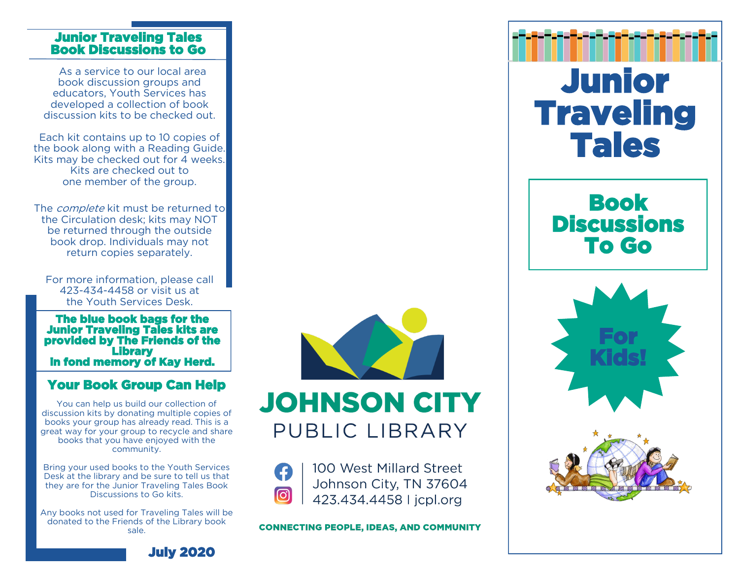#### Junior Traveling Tales Book Discussions to Go

 As a service to our local area book discussion groups and educators, Youth Services has developed a collection of book discussion kits to be checked out.

Each kit contains up to 10 copies of the book along with a Reading Guide. Kits may be checked out for 4 weeks. Kits are checked out to one member of the group.

The *complete* kit must be returned to the Circulation desk; kits may NOT be returned through the outside book drop. Individuals may not return copies separately.

For more information, please call 423-434-4458 or visit us at the Youth Services Desk.

The blue book bags for the Junior Traveling Tales kits are provided by The Friends of the **Library** in fond memory of Kay Herd.

## Your Book Group Can Help

You can help us build our collection of discussion kits by donating multiple copies of books your group has already read. This is a great way for your group to recycle and share books that you have enjoyed with the community.

Bring your used books to the Youth Services Desk at the library and be sure to tell us that they are for the Junior Traveling Tales Book Discussions to Go kits.

Any books not used for Traveling Tales will be donated to the Friends of the Library book sale.



**JOHNSON CITY** PUBLIC LIBRARY



100 West Millard Street Johnson City, TN 37604 423.434.4458 | jcpl.org

**CONNECTING PEOPLE, IDEAS, AND COMMUNITY**